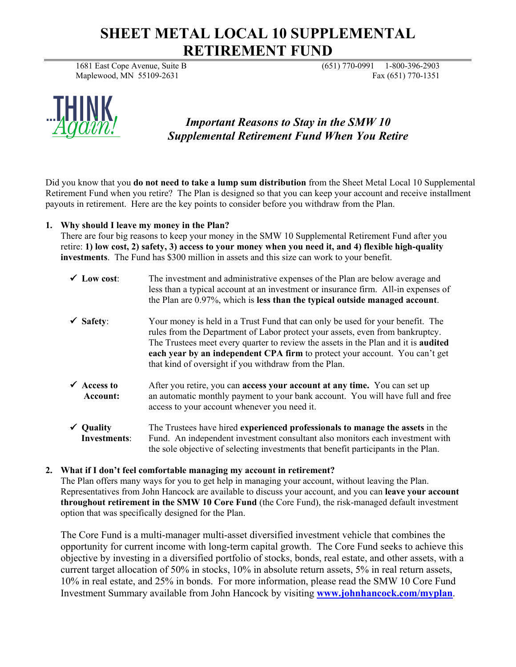# **SHEET METAL LOCAL 10 SUPPLEMENTAL RETIREMENT FUND**

1681 East Cope Avenue, Suite B (651) 770-0991 1-800-396-2903 Maplewood, MN 55109-2631 Fax (651) 770-1351



# *Important Reasons to Stay in the SMW 10 Supplemental Retirement Fund When You Retire*

Did you know that you **do not need to take a lump sum distribution** from the Sheet Metal Local 10 Supplemental Retirement Fund when you retire? The Plan is designed so that you can keep your account and receive installment payouts in retirement. Here are the key points to consider before you withdraw from the Plan.

## **1. Why should I leave my money in the Plan?**

There are four big reasons to keep your money in the SMW 10 Supplemental Retirement Fund after you retire: **1) low cost, 2) safety, 3) access to your money when you need it, and 4) flexible high-quality investments**. The Fund has \$300 million in assets and this size can work to your benefit.

- $\checkmark$  Low cost: The investment and administrative expenses of the Plan are below average and less than a typical account at an investment or insurance firm. All-in expenses of the Plan are 0.97%, which is **less than the typical outside managed account**.
- **Safety**: Your money is held in a Trust Fund that can only be used for your benefit. The rules from the Department of Labor protect your assets, even from bankruptcy. The Trustees meet every quarter to review the assets in the Plan and it is **audited each year by an independent CPA firm** to protect your account. You can't get that kind of oversight if you withdraw from the Plan.
- **Access to** After you retire, you can **access your account at any time.** You can set up  **Account:** an automatic monthly payment to your bank account. You will have full and free access to your account whenever you need it.
- **Quality** The Trustees have hired **experienced professionals to manage the assets** in the **Investments**: Fund. An independent investment consultant also monitors each investment with the sole objective of selecting investments that benefit participants in the Plan.

# **2. What if I don't feel comfortable managing my account in retirement?**

The Plan offers many ways for you to get help in managing your account, without leaving the Plan. Representatives from John Hancock are available to discuss your account, and you can **leave your account throughout retirement in the SMW 10 Core Fund** (the Core Fund), the risk-managed default investment option that was specifically designed for the Plan.

The Core Fund is a multi-manager multi-asset diversified investment vehicle that combines the opportunity for current income with long-term capital growth. The Core Fund seeks to achieve this objective by investing in a diversified portfolio of stocks, bonds, real estate, and other assets, with a current target allocation of 50% in stocks, 10% in absolute return assets, 5% in real return assets, 10% in real estate, and 25% in bonds. For more information, please read the SMW 10 Core Fund Investment Summary available from John Hancock by visiting **[www.johnhancock.com/myplan](http://www.johnhancock.com/myplan)**.